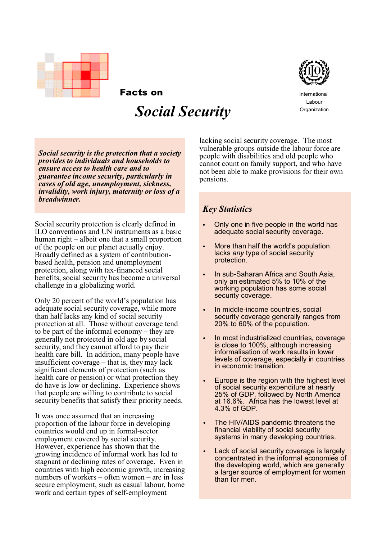

International Labour **Organization** 

*Social security is the protection that a society provides to individuals and households to ensure access to health care and to guarantee income security, particularly in cases of old age, unemployment, sickness, invalidity, work injury, maternity or loss of a breadwinner.*

Facts on

 *Social Security*

Social security protection is clearly defined in ILO conventions and UN instruments as a basic human right – albeit one that a small proportion of the people on our planet actually enjoy. Broadly defined as a system of contributionbased health, pension and unemployment protection, along with tax-financed social benefits, social security has become a universal challenge in a globalizing world.

Only 20 percent of the world's population has adequate social security coverage, while more than half lacks any kind of social security protection at all. Those without coverage tend to be part of the informal economy – they are generally not protected in old age by social security, and they cannot afford to pay their health care bill. In addition, many people have insufficient coverage – that is, they may lack significant elements of protection (such as health care or pension) or what protection they do have is low or declining. Experience shows that people are willing to contribute to social security benefits that satisfy their priority needs.

It was once assumed that an increasing proportion of the labour force in developing countries would end up in formal-sector employment covered by social security. However, experience has shown that the growing incidence of informal work has led to stagnant or declining rates of coverage. Even in countries with high economic growth, increasing numbers of workers – often women – are in less secure employment, such as casual labour, home work and certain types of self-employment

lacking social security coverage. The most vulnerable groups outside the labour force are people with disabilities and old people who cannot count on family support, and who have not been able to make provisions for their own pensions.

# *Key Statistics*

- Only one in five people in the world has adequate social security coverage.
- More than half the world's population lacks *any* type of social security protection.
- In sub-Saharan Africa and South Asia, only an estimated 5% to 10% of the working population has some social security coverage.
- In middle-income countries, social security coverage generally ranges from 20% to 60% of the population.
- In most industrialized countries, coverage is close to 100%, although increasing informalisation of work results in lower levels of coverage, especially in countries in economic transition.
- Europe is the region with the highest level of social security expenditure at nearly 25% of GDP, followed by North America at 16.6%. Africa has the lowest level at 4.3% of GDP.
- The HIV/AIDS pandemic threatens the financial viability of social security systems in many developing countries.
- Lack of social security coverage is largely concentrated in the informal economies of the developing world, which are generally a larger source of employment for women than for men.